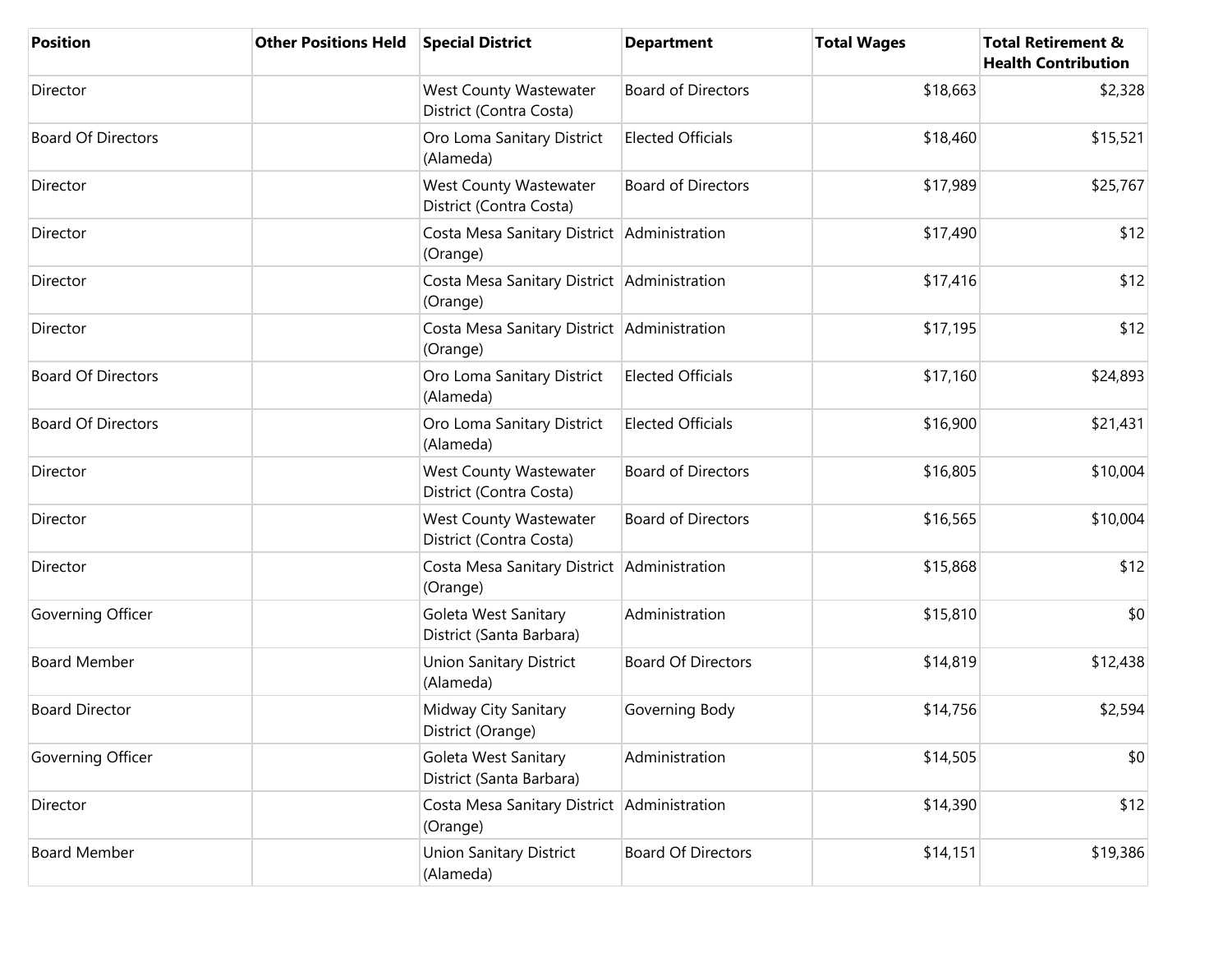| <b>Position</b>           | <b>Other Positions Held</b> | <b>Special District</b>                                  | <b>Department</b>         | <b>Total Wages</b> | <b>Total Retirement &amp;</b><br><b>Health Contribution</b> |
|---------------------------|-----------------------------|----------------------------------------------------------|---------------------------|--------------------|-------------------------------------------------------------|
| Director                  |                             | West County Wastewater<br>District (Contra Costa)        | <b>Board of Directors</b> | \$18,663           | \$2,328                                                     |
| <b>Board Of Directors</b> |                             | Oro Loma Sanitary District<br>(Alameda)                  | <b>Elected Officials</b>  | \$18,460           | \$15,521                                                    |
| Director                  |                             | <b>West County Wastewater</b><br>District (Contra Costa) | <b>Board of Directors</b> | \$17,989           | \$25,767                                                    |
| Director                  |                             | Costa Mesa Sanitary District Administration<br>(Orange)  |                           | \$17,490           | \$12                                                        |
| Director                  |                             | Costa Mesa Sanitary District Administration<br>(Orange)  |                           | \$17,416           | \$12                                                        |
| Director                  |                             | Costa Mesa Sanitary District Administration<br>(Orange)  |                           | \$17,195           | \$12                                                        |
| <b>Board Of Directors</b> |                             | Oro Loma Sanitary District<br>(Alameda)                  | <b>Elected Officials</b>  | \$17,160           | \$24,893                                                    |
| <b>Board Of Directors</b> |                             | Oro Loma Sanitary District<br>(Alameda)                  | <b>Elected Officials</b>  | \$16,900           | \$21,431                                                    |
| Director                  |                             | <b>West County Wastewater</b><br>District (Contra Costa) | <b>Board of Directors</b> | \$16,805           | \$10,004                                                    |
| Director                  |                             | West County Wastewater<br>District (Contra Costa)        | <b>Board of Directors</b> | \$16,565           | \$10,004                                                    |
| Director                  |                             | Costa Mesa Sanitary District Administration<br>(Orange)  |                           | \$15,868           | \$12                                                        |
| Governing Officer         |                             | Goleta West Sanitary<br>District (Santa Barbara)         | Administration            | \$15,810           | \$0                                                         |
| <b>Board Member</b>       |                             | <b>Union Sanitary District</b><br>(Alameda)              | <b>Board Of Directors</b> | \$14,819           | \$12,438                                                    |
| <b>Board Director</b>     |                             | Midway City Sanitary<br>District (Orange)                | Governing Body            | \$14,756           | \$2,594                                                     |
| Governing Officer         |                             | Goleta West Sanitary<br>District (Santa Barbara)         | Administration            | \$14,505           | \$0                                                         |
| Director                  |                             | Costa Mesa Sanitary District Administration<br>(Orange)  |                           | \$14,390           | \$12                                                        |
| <b>Board Member</b>       |                             | <b>Union Sanitary District</b><br>(Alameda)              | <b>Board Of Directors</b> | \$14,151           | \$19,386                                                    |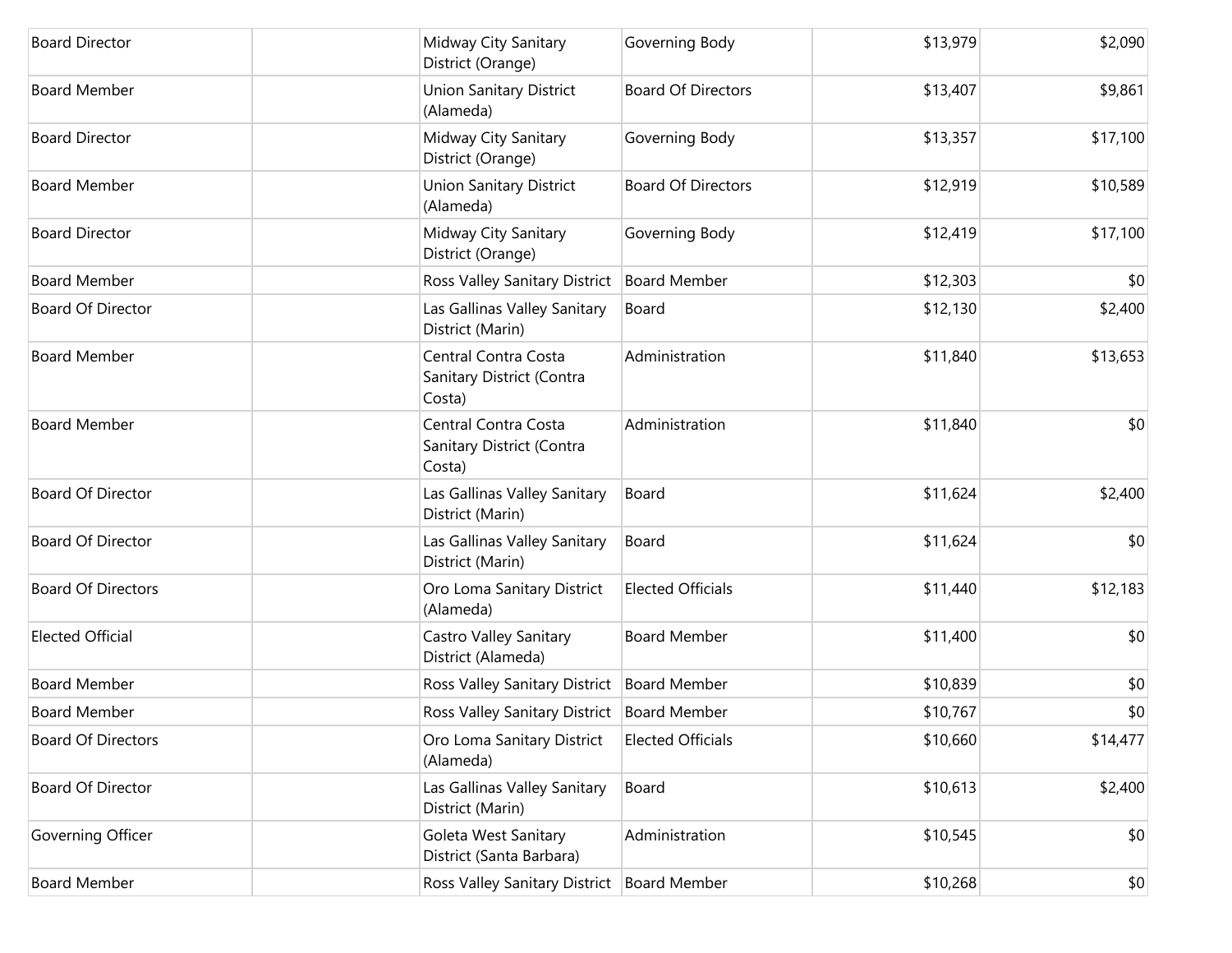| <b>Board Director</b>     | Midway City Sanitary<br>District (Orange)                   | Governing Body            | \$13,979 | \$2,090  |
|---------------------------|-------------------------------------------------------------|---------------------------|----------|----------|
| <b>Board Member</b>       | Union Sanitary District<br>(Alameda)                        | <b>Board Of Directors</b> | \$13,407 | \$9,861  |
| <b>Board Director</b>     | Midway City Sanitary<br>District (Orange)                   | Governing Body            | \$13,357 | \$17,100 |
| <b>Board Member</b>       | <b>Union Sanitary District</b><br>(Alameda)                 | <b>Board Of Directors</b> | \$12,919 | \$10,589 |
| <b>Board Director</b>     | Midway City Sanitary<br>District (Orange)                   | Governing Body            | \$12,419 | \$17,100 |
| <b>Board Member</b>       | Ross Valley Sanitary District                               | <b>Board Member</b>       | \$12,303 | \$0      |
| Board Of Director         | Las Gallinas Valley Sanitary<br>District (Marin)            | Board                     | \$12,130 | \$2,400  |
| <b>Board Member</b>       | Central Contra Costa<br>Sanitary District (Contra<br>Costa) | Administration            | \$11,840 | \$13,653 |
| <b>Board Member</b>       | Central Contra Costa<br>Sanitary District (Contra<br>Costa) | Administration            | \$11,840 | \$0      |
| <b>Board Of Director</b>  | Las Gallinas Valley Sanitary<br>District (Marin)            | Board                     | \$11,624 | \$2,400  |
| Board Of Director         | Las Gallinas Valley Sanitary<br>District (Marin)            | Board                     | \$11,624 | \$0      |
| <b>Board Of Directors</b> | Oro Loma Sanitary District<br>(Alameda)                     | <b>Elected Officials</b>  | \$11,440 | \$12,183 |
| <b>Elected Official</b>   | Castro Valley Sanitary<br>District (Alameda)                | <b>Board Member</b>       | \$11,400 | \$0      |
| <b>Board Member</b>       | Ross Valley Sanitary District                               | <b>Board Member</b>       | \$10,839 | \$0      |
| <b>Board Member</b>       | Ross Valley Sanitary District   Board Member                |                           | \$10,767 | \$0      |
| <b>Board Of Directors</b> | Oro Loma Sanitary District<br>(Alameda)                     | <b>Elected Officials</b>  | \$10,660 | \$14,477 |
| Board Of Director         | Las Gallinas Valley Sanitary<br>District (Marin)            | Board                     | \$10,613 | \$2,400  |
| Governing Officer         | Goleta West Sanitary<br>District (Santa Barbara)            | Administration            | \$10,545 | \$0      |
| <b>Board Member</b>       | Ross Valley Sanitary District                               | Board Member              | \$10,268 | \$0      |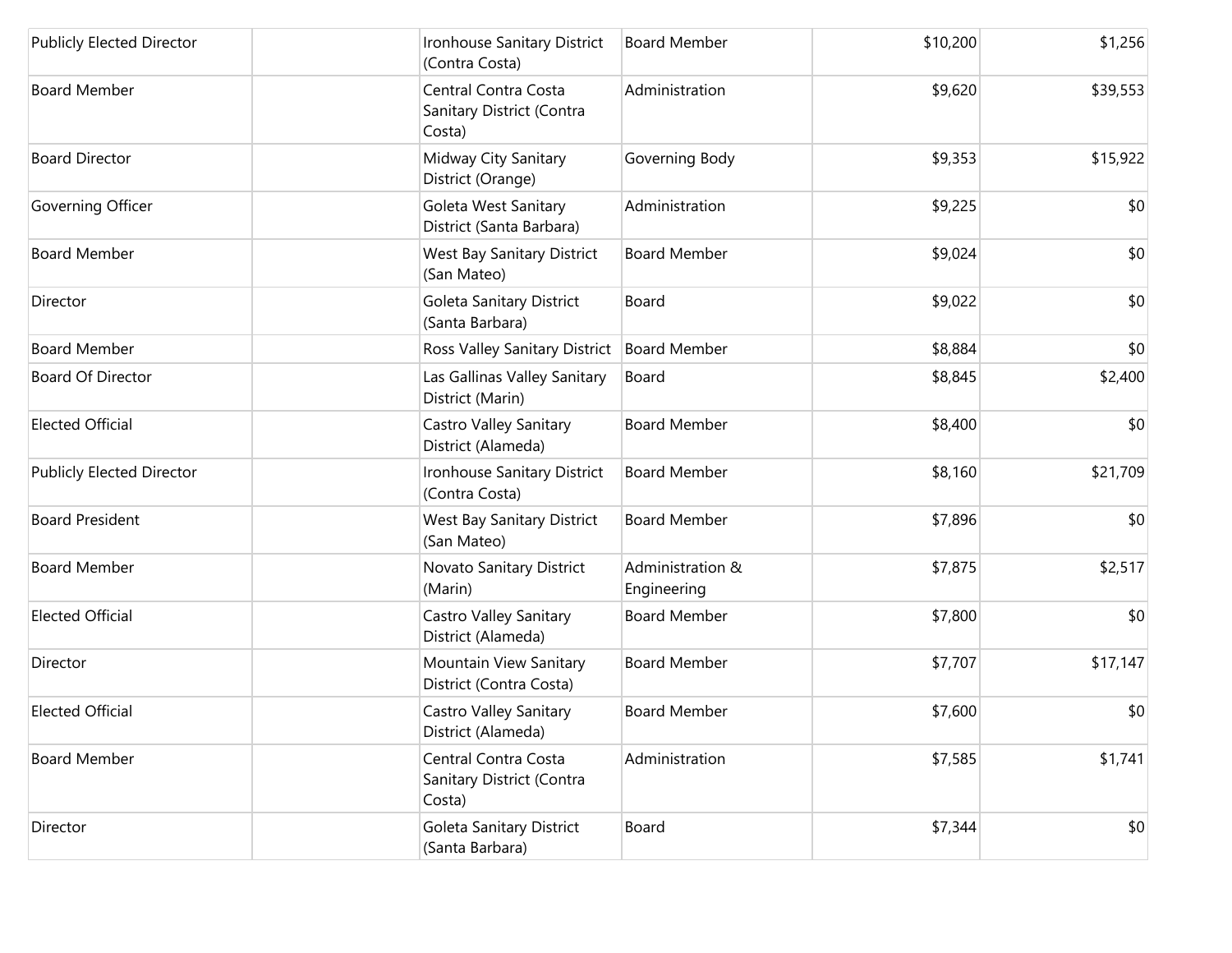| <b>Publicly Elected Director</b> | Ironhouse Sanitary District<br>(Contra Costa)               | <b>Board Member</b>             | \$10,200 | \$1,256  |
|----------------------------------|-------------------------------------------------------------|---------------------------------|----------|----------|
| <b>Board Member</b>              | Central Contra Costa<br>Sanitary District (Contra<br>Costa) | Administration                  | \$9,620  | \$39,553 |
| <b>Board Director</b>            | Midway City Sanitary<br>District (Orange)                   | Governing Body                  | \$9,353  | \$15,922 |
| Governing Officer                | Goleta West Sanitary<br>District (Santa Barbara)            | Administration                  | \$9,225  | \$0      |
| <b>Board Member</b>              | <b>West Bay Sanitary District</b><br>(San Mateo)            | <b>Board Member</b>             | \$9,024  | \$0      |
| Director                         | Goleta Sanitary District<br>(Santa Barbara)                 | Board                           | \$9,022  | \$0      |
| <b>Board Member</b>              | Ross Valley Sanitary District                               | <b>Board Member</b>             | \$8,884  | \$0      |
| <b>Board Of Director</b>         | Las Gallinas Valley Sanitary<br>District (Marin)            | Board                           | \$8,845  | \$2,400  |
| <b>Elected Official</b>          | Castro Valley Sanitary<br>District (Alameda)                | <b>Board Member</b>             | \$8,400  | \$0      |
| Publicly Elected Director        | Ironhouse Sanitary District<br>(Contra Costa)               | <b>Board Member</b>             | \$8,160  | \$21,709 |
| <b>Board President</b>           | <b>West Bay Sanitary District</b><br>(San Mateo)            | <b>Board Member</b>             | \$7,896  | \$0      |
| <b>Board Member</b>              | Novato Sanitary District<br>(Marin)                         | Administration &<br>Engineering | \$7,875  | \$2,517  |
| <b>Elected Official</b>          | Castro Valley Sanitary<br>District (Alameda)                | <b>Board Member</b>             | \$7,800  | \$0      |
| Director                         | Mountain View Sanitary<br>District (Contra Costa)           | <b>Board Member</b>             | \$7,707  | \$17,147 |
| <b>Elected Official</b>          | Castro Valley Sanitary<br>District (Alameda)                | <b>Board Member</b>             | \$7,600  | \$0      |
| <b>Board Member</b>              | Central Contra Costa<br>Sanitary District (Contra<br>Costa) | Administration                  | \$7,585  | \$1,741  |
| Director                         | Goleta Sanitary District<br>(Santa Barbara)                 | Board                           | \$7,344  | \$0      |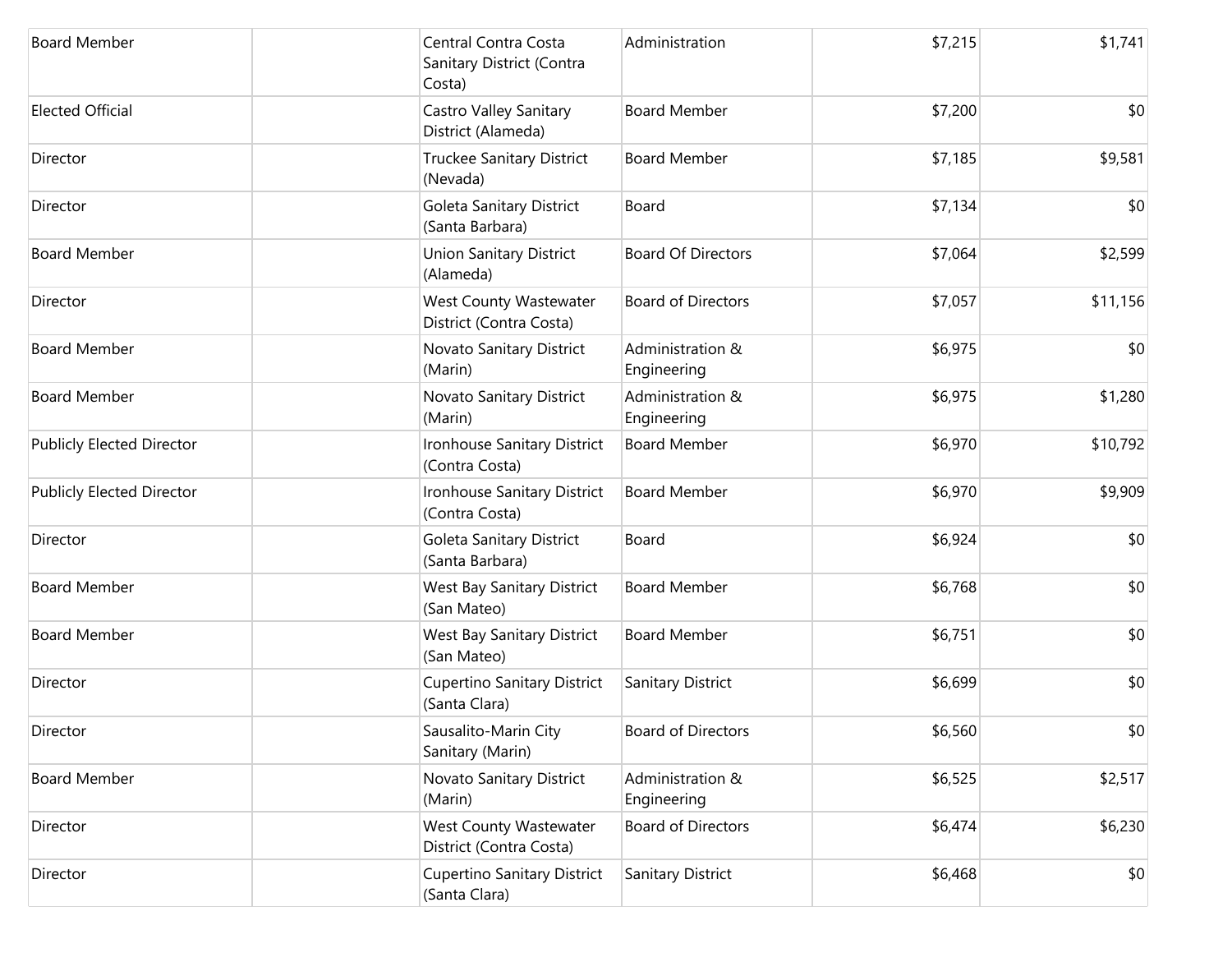| <b>Board Member</b>              | Central Contra Costa<br>Sanitary District (Contra<br>Costa) | Administration                  | \$7,215 | \$1,741  |
|----------------------------------|-------------------------------------------------------------|---------------------------------|---------|----------|
| <b>Elected Official</b>          | Castro Valley Sanitary<br>District (Alameda)                | <b>Board Member</b>             | \$7,200 | \$0      |
| Director                         | <b>Truckee Sanitary District</b><br>(Nevada)                | <b>Board Member</b>             | \$7,185 | \$9,581  |
| Director                         | Goleta Sanitary District<br>(Santa Barbara)                 | Board                           | \$7,134 | \$0      |
| <b>Board Member</b>              | <b>Union Sanitary District</b><br>(Alameda)                 | <b>Board Of Directors</b>       | \$7,064 | \$2,599  |
| Director                         | West County Wastewater<br>District (Contra Costa)           | <b>Board of Directors</b>       | \$7,057 | \$11,156 |
| <b>Board Member</b>              | Novato Sanitary District<br>(Marin)                         | Administration &<br>Engineering | \$6,975 | \$0      |
| <b>Board Member</b>              | Novato Sanitary District<br>(Marin)                         | Administration &<br>Engineering | \$6,975 | \$1,280  |
| <b>Publicly Elected Director</b> | Ironhouse Sanitary District<br>(Contra Costa)               | <b>Board Member</b>             | \$6,970 | \$10,792 |
| <b>Publicly Elected Director</b> | Ironhouse Sanitary District<br>(Contra Costa)               | <b>Board Member</b>             | \$6,970 | \$9,909  |
| Director                         | Goleta Sanitary District<br>(Santa Barbara)                 | Board                           | \$6,924 | \$0      |
| <b>Board Member</b>              | <b>West Bay Sanitary District</b><br>(San Mateo)            | <b>Board Member</b>             | \$6,768 | \$0      |
| <b>Board Member</b>              | West Bay Sanitary District<br>(San Mateo)                   | <b>Board Member</b>             | \$6,751 | \$0      |
| Director                         | <b>Cupertino Sanitary District</b><br>(Santa Clara)         | Sanitary District               | \$6,699 | \$0      |
| Director                         | Sausalito-Marin City<br>Sanitary (Marin)                    | <b>Board of Directors</b>       | \$6,560 | \$0      |
| <b>Board Member</b>              | Novato Sanitary District<br>(Marin)                         | Administration &<br>Engineering | \$6,525 | \$2,517  |
| Director                         | West County Wastewater<br>District (Contra Costa)           | <b>Board of Directors</b>       | \$6,474 | \$6,230  |
| Director                         | <b>Cupertino Sanitary District</b><br>(Santa Clara)         | Sanitary District               | \$6,468 | \$0      |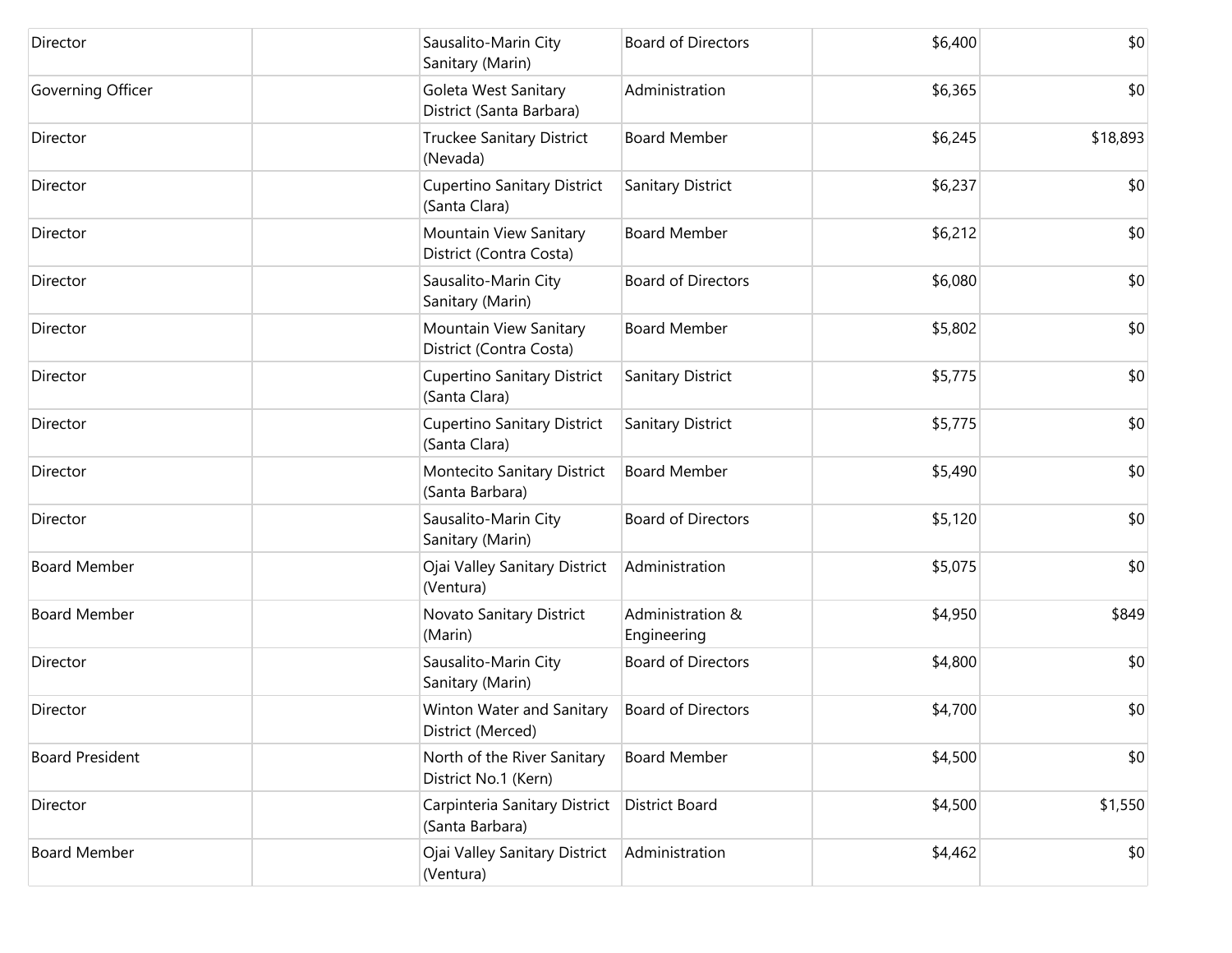| Director               | Sausalito-Marin City<br>Sanitary (Marin)            | <b>Board of Directors</b>       | \$6,400 | \$0      |
|------------------------|-----------------------------------------------------|---------------------------------|---------|----------|
| Governing Officer      | Goleta West Sanitary<br>District (Santa Barbara)    | Administration                  | \$6,365 | \$0      |
| Director               | Truckee Sanitary District<br>(Nevada)               | <b>Board Member</b>             | \$6,245 | \$18,893 |
| Director               | Cupertino Sanitary District<br>(Santa Clara)        | Sanitary District               | \$6,237 | \$0      |
| Director               | Mountain View Sanitary<br>District (Contra Costa)   | <b>Board Member</b>             | \$6,212 | \$0      |
| Director               | Sausalito-Marin City<br>Sanitary (Marin)            | <b>Board of Directors</b>       | \$6,080 | \$0      |
| Director               | Mountain View Sanitary<br>District (Contra Costa)   | <b>Board Member</b>             | \$5,802 | \$0      |
| Director               | Cupertino Sanitary District<br>(Santa Clara)        | Sanitary District               | \$5,775 | \$0      |
| Director               | Cupertino Sanitary District<br>(Santa Clara)        | Sanitary District               | \$5,775 | \$0      |
| Director               | Montecito Sanitary District<br>(Santa Barbara)      | <b>Board Member</b>             | \$5,490 | \$0      |
| Director               | Sausalito-Marin City<br>Sanitary (Marin)            | <b>Board of Directors</b>       | \$5,120 | \$0      |
| <b>Board Member</b>    | Ojai Valley Sanitary District<br>(Ventura)          | Administration                  | \$5,075 | \$0      |
| <b>Board Member</b>    | Novato Sanitary District<br>(Marin)                 | Administration &<br>Engineering | \$4,950 | \$849    |
| Director               | Sausalito-Marin City<br>Sanitary (Marin)            | <b>Board of Directors</b>       | \$4,800 | \$0      |
| Director               | Winton Water and Sanitary<br>District (Merced)      | <b>Board of Directors</b>       | \$4,700 | \$0      |
| <b>Board President</b> | North of the River Sanitary<br>District No.1 (Kern) | <b>Board Member</b>             | \$4,500 | \$0      |
| Director               | Carpinteria Sanitary District<br>(Santa Barbara)    | <b>District Board</b>           | \$4,500 | \$1,550  |
| <b>Board Member</b>    | Ojai Valley Sanitary District<br>(Ventura)          | Administration                  | \$4,462 | \$0      |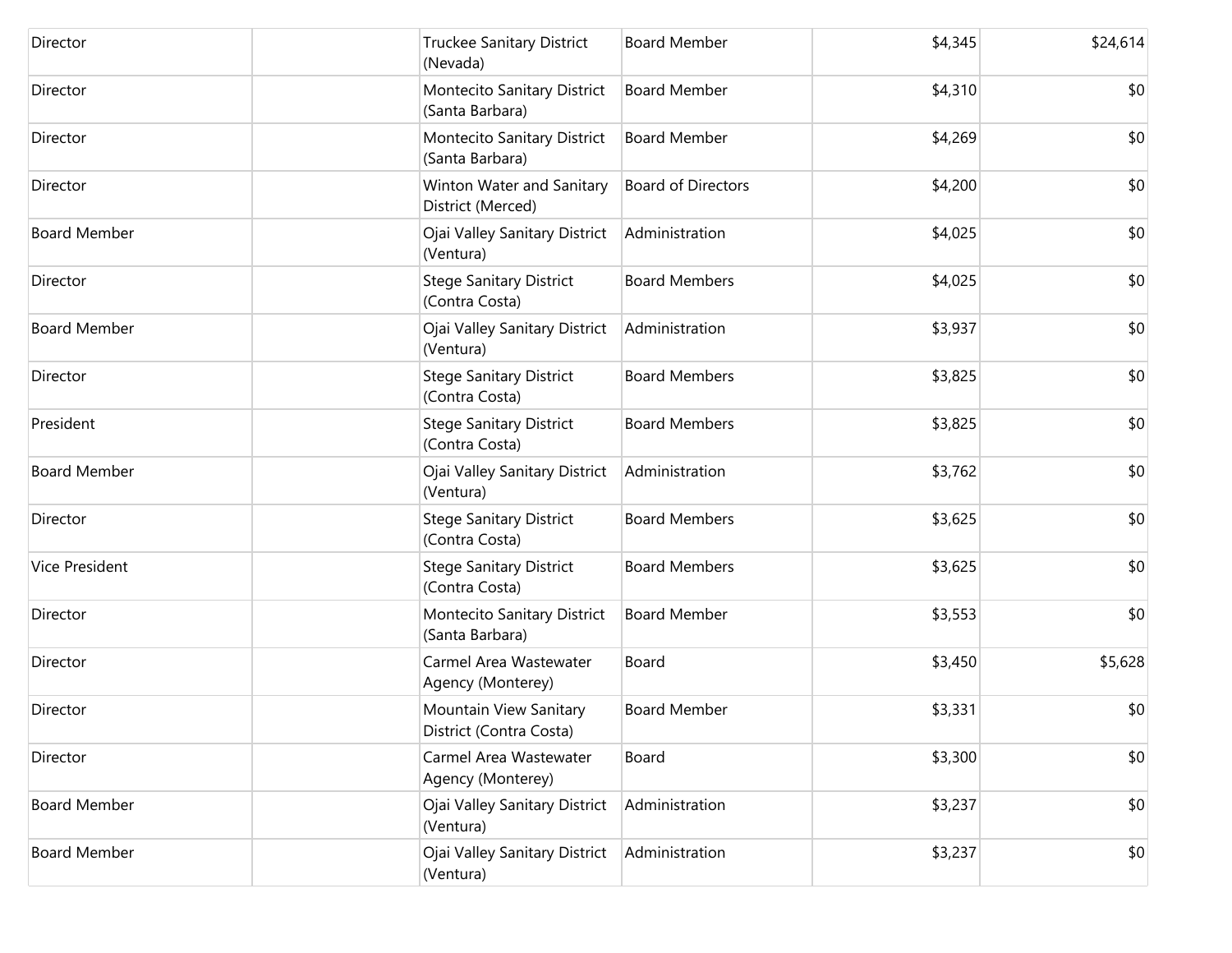| Director              | <b>Truckee Sanitary District</b><br>(Nevada)      | <b>Board Member</b>       | \$4,345 | \$24,614 |
|-----------------------|---------------------------------------------------|---------------------------|---------|----------|
| Director              | Montecito Sanitary District<br>(Santa Barbara)    | <b>Board Member</b>       | \$4,310 | \$0      |
| Director              | Montecito Sanitary District<br>(Santa Barbara)    | <b>Board Member</b>       | \$4,269 | \$0      |
| Director              | Winton Water and Sanitary<br>District (Merced)    | <b>Board of Directors</b> | \$4,200 | \$0      |
| <b>Board Member</b>   | Ojai Valley Sanitary District<br>(Ventura)        | Administration            | \$4,025 | \$0      |
| Director              | <b>Stege Sanitary District</b><br>(Contra Costa)  | <b>Board Members</b>      | \$4,025 | \$0      |
| <b>Board Member</b>   | Ojai Valley Sanitary District<br>(Ventura)        | Administration            | \$3,937 | \$0      |
| Director              | <b>Stege Sanitary District</b><br>(Contra Costa)  | <b>Board Members</b>      | \$3,825 | \$0      |
| President             | <b>Stege Sanitary District</b><br>(Contra Costa)  | <b>Board Members</b>      | \$3,825 | \$0      |
| <b>Board Member</b>   | Ojai Valley Sanitary District<br>(Ventura)        | Administration            | \$3,762 | \$0      |
| Director              | <b>Stege Sanitary District</b><br>(Contra Costa)  | <b>Board Members</b>      | \$3,625 | \$0      |
| <b>Vice President</b> | <b>Stege Sanitary District</b><br>(Contra Costa)  | <b>Board Members</b>      | \$3,625 | \$0      |
| Director              | Montecito Sanitary District<br>(Santa Barbara)    | <b>Board Member</b>       | \$3,553 | \$0      |
| Director              | Carmel Area Wastewater<br>Agency (Monterey)       | Board                     | \$3,450 | \$5,628  |
| Director              | Mountain View Sanitary<br>District (Contra Costa) | <b>Board Member</b>       | \$3,331 | \$0      |
| Director              | Carmel Area Wastewater<br>Agency (Monterey)       | Board                     | \$3,300 | \$0      |
| <b>Board Member</b>   | Ojai Valley Sanitary District<br>(Ventura)        | Administration            | \$3,237 | \$0      |
| <b>Board Member</b>   | Ojai Valley Sanitary District<br>(Ventura)        | Administration            | \$3,237 | \$0      |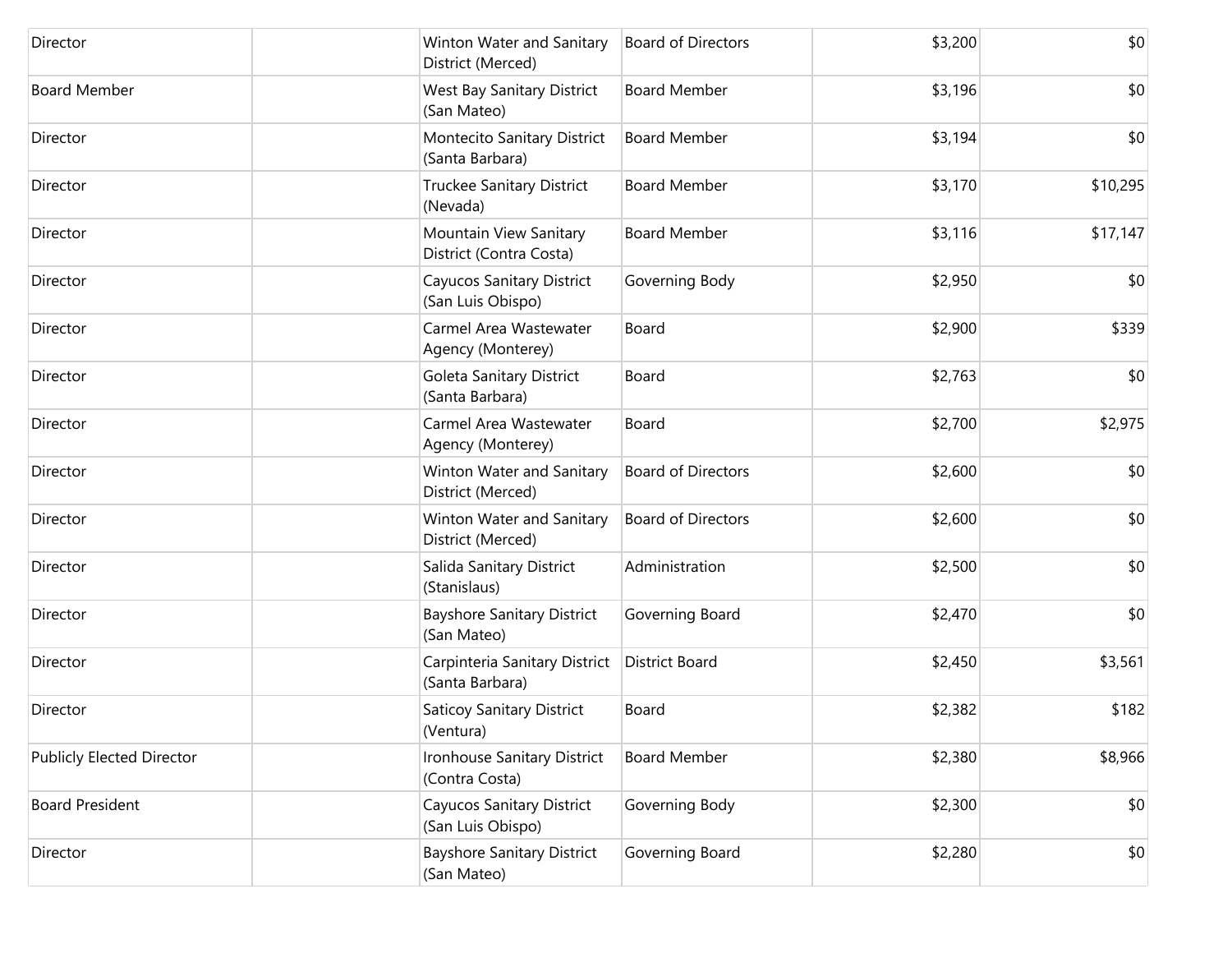| Director                         | Winton Water and Sanitary<br>District (Merced)        | <b>Board of Directors</b> | \$3,200 | \$0      |
|----------------------------------|-------------------------------------------------------|---------------------------|---------|----------|
| <b>Board Member</b>              | <b>West Bay Sanitary District</b><br>(San Mateo)      | <b>Board Member</b>       | \$3,196 | \$0      |
| Director                         | Montecito Sanitary District<br>(Santa Barbara)        | <b>Board Member</b>       | \$3,194 | \$0      |
| Director                         | Truckee Sanitary District<br>(Nevada)                 | <b>Board Member</b>       | \$3,170 | \$10,295 |
| Director                         | Mountain View Sanitary<br>District (Contra Costa)     | <b>Board Member</b>       | \$3,116 | \$17,147 |
| Director                         | Cayucos Sanitary District<br>(San Luis Obispo)        | Governing Body            | \$2,950 | \$0      |
| Director                         | Carmel Area Wastewater<br>Agency (Monterey)           | Board                     | \$2,900 | \$339    |
| Director                         | Goleta Sanitary District<br>(Santa Barbara)           | Board                     | \$2,763 | \$0      |
| Director                         | Carmel Area Wastewater<br>Agency (Monterey)           | Board                     | \$2,700 | \$2,975  |
| Director                         | Winton Water and Sanitary<br>District (Merced)        | <b>Board of Directors</b> | \$2,600 | \$0      |
| Director                         | Winton Water and Sanitary<br>District (Merced)        | <b>Board of Directors</b> | \$2,600 | \$0      |
| Director                         | Salida Sanitary District<br>(Stanislaus)              | Administration            | \$2,500 | \$0      |
| Director                         | <b>Bayshore Sanitary District</b><br>(San Mateo)      | Governing Board           | \$2,470 | \$0      |
| Director                         | Carpinteria Sanitary District<br>(Santa Barbara)      | <b>District Board</b>     | \$2,450 | \$3,561  |
| Director                         | <b>Saticoy Sanitary District</b><br>(Ventura)         | Board                     | \$2,382 | \$182    |
| <b>Publicly Elected Director</b> | Ironhouse Sanitary District<br>(Contra Costa)         | <b>Board Member</b>       | \$2,380 | \$8,966  |
| <b>Board President</b>           | <b>Cayucos Sanitary District</b><br>(San Luis Obispo) | Governing Body            | \$2,300 | \$0      |
| Director                         | <b>Bayshore Sanitary District</b><br>(San Mateo)      | Governing Board           | \$2,280 | \$0      |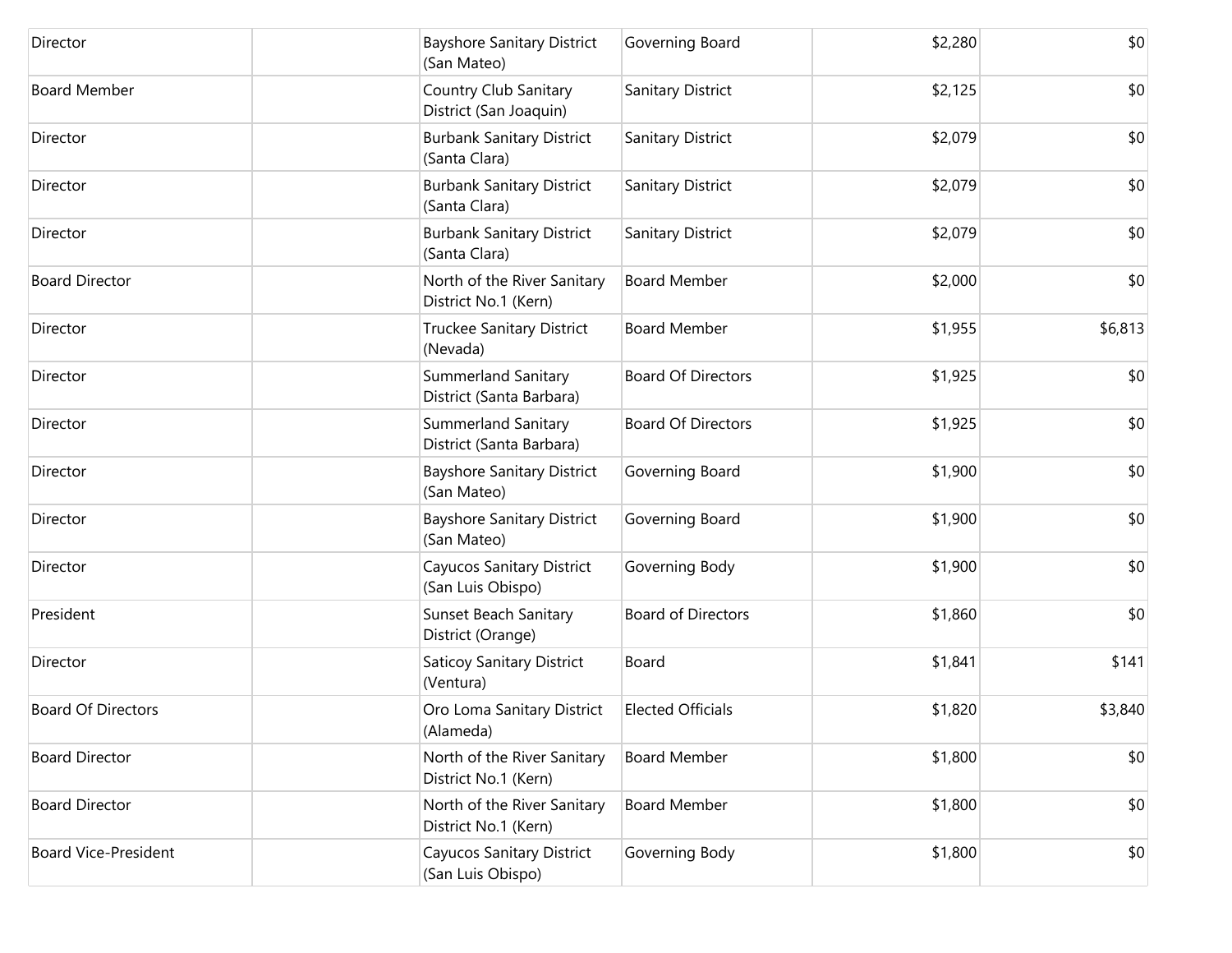| Director                    | <b>Bayshore Sanitary District</b><br>(San Mateo)       | Governing Board           | \$2,280 | \$0     |
|-----------------------------|--------------------------------------------------------|---------------------------|---------|---------|
| <b>Board Member</b>         | Country Club Sanitary<br>District (San Joaquin)        | Sanitary District         | \$2,125 | \$0     |
| Director                    | <b>Burbank Sanitary District</b><br>(Santa Clara)      | Sanitary District         | \$2,079 | \$0     |
| Director                    | <b>Burbank Sanitary District</b><br>(Santa Clara)      | Sanitary District         | \$2,079 | \$0     |
| Director                    | <b>Burbank Sanitary District</b><br>(Santa Clara)      | Sanitary District         | \$2,079 | \$0     |
| <b>Board Director</b>       | North of the River Sanitary<br>District No.1 (Kern)    | <b>Board Member</b>       | \$2,000 | \$0     |
| Director                    | Truckee Sanitary District<br>(Nevada)                  | <b>Board Member</b>       | \$1,955 | \$6,813 |
| Director                    | <b>Summerland Sanitary</b><br>District (Santa Barbara) | <b>Board Of Directors</b> | \$1,925 | \$0     |
| Director                    | Summerland Sanitary<br>District (Santa Barbara)        | <b>Board Of Directors</b> | \$1,925 | \$0     |
| Director                    | <b>Bayshore Sanitary District</b><br>(San Mateo)       | Governing Board           | \$1,900 | \$0     |
| Director                    | Bayshore Sanitary District<br>(San Mateo)              | Governing Board           | \$1,900 | \$0     |
| Director                    | Cayucos Sanitary District<br>(San Luis Obispo)         | Governing Body            | \$1,900 | \$0     |
| President                   | Sunset Beach Sanitary<br>District (Orange)             | <b>Board of Directors</b> | \$1,860 | \$0     |
| Director                    | <b>Saticoy Sanitary District</b><br>(Ventura)          | Board                     | \$1,841 | \$141   |
| <b>Board Of Directors</b>   | Oro Loma Sanitary District<br>(Alameda)                | <b>Elected Officials</b>  | \$1,820 | \$3,840 |
| <b>Board Director</b>       | North of the River Sanitary<br>District No.1 (Kern)    | <b>Board Member</b>       | \$1,800 | \$0     |
| <b>Board Director</b>       | North of the River Sanitary<br>District No.1 (Kern)    | <b>Board Member</b>       | \$1,800 | \$0     |
| <b>Board Vice-President</b> | Cayucos Sanitary District<br>(San Luis Obispo)         | Governing Body            | \$1,800 | \$0     |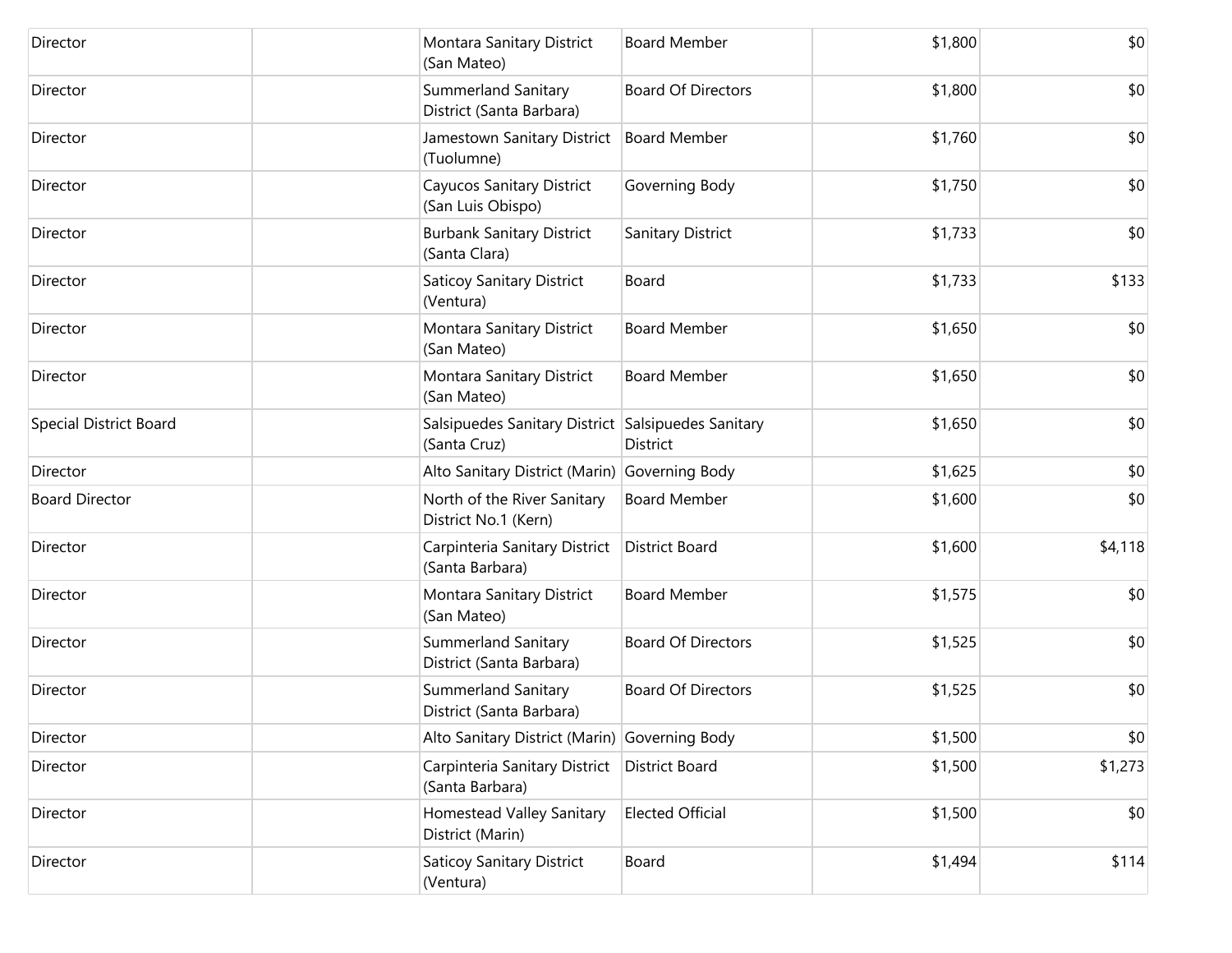| Director                      | Montara Sanitary District<br>(San Mateo)                           | <b>Board Member</b>       | \$1,800 | \$0     |
|-------------------------------|--------------------------------------------------------------------|---------------------------|---------|---------|
| Director                      | Summerland Sanitary<br>District (Santa Barbara)                    | <b>Board Of Directors</b> | \$1,800 | \$0     |
| Director                      | Jamestown Sanitary District<br>(Tuolumne)                          | <b>Board Member</b>       | \$1,760 | \$0     |
| Director                      | <b>Cayucos Sanitary District</b><br>(San Luis Obispo)              | Governing Body            | \$1,750 | \$0     |
| Director                      | <b>Burbank Sanitary District</b><br>(Santa Clara)                  | Sanitary District         | \$1,733 | \$0     |
| Director                      | <b>Saticoy Sanitary District</b><br>(Ventura)                      | Board                     | \$1,733 | \$133   |
| Director                      | Montara Sanitary District<br>(San Mateo)                           | <b>Board Member</b>       | \$1,650 | \$0     |
| Director                      | Montara Sanitary District<br>(San Mateo)                           | <b>Board Member</b>       | \$1,650 | \$0     |
| <b>Special District Board</b> | Salsipuedes Sanitary District Salsipuedes Sanitary<br>(Santa Cruz) | District                  | \$1,650 | \$0     |
| Director                      | Alto Sanitary District (Marin) Governing Body                      |                           | \$1,625 | \$0     |
| <b>Board Director</b>         | North of the River Sanitary<br>District No.1 (Kern)                | <b>Board Member</b>       | \$1,600 | \$0     |
| Director                      | Carpinteria Sanitary District<br>(Santa Barbara)                   | <b>District Board</b>     | \$1,600 | \$4,118 |
| Director                      | Montara Sanitary District<br>(San Mateo)                           | <b>Board Member</b>       | \$1,575 | \$0     |
| Director                      | Summerland Sanitary<br>District (Santa Barbara)                    | <b>Board Of Directors</b> | \$1,525 | \$0     |
| Director                      | Summerland Sanitary<br>District (Santa Barbara)                    | <b>Board Of Directors</b> | \$1,525 | \$0     |
| Director                      | Alto Sanitary District (Marin) Governing Body                      |                           | \$1,500 | \$0     |
| Director                      | Carpinteria Sanitary District<br>(Santa Barbara)                   | <b>District Board</b>     | \$1,500 | \$1,273 |
| Director                      | Homestead Valley Sanitary<br>District (Marin)                      | <b>Elected Official</b>   | \$1,500 | \$0     |
| Director                      | <b>Saticoy Sanitary District</b><br>(Ventura)                      | Board                     | \$1,494 | \$114   |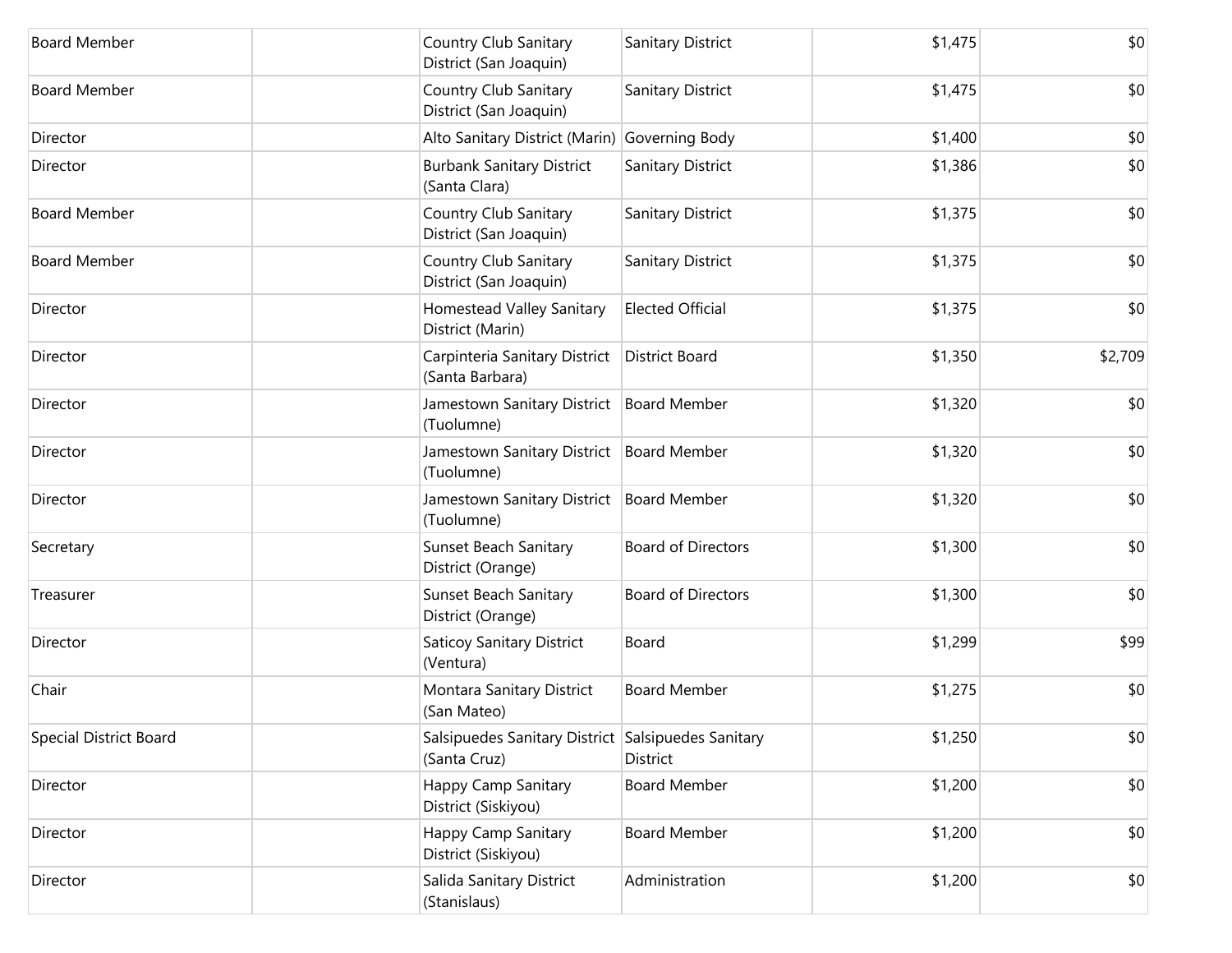| <b>Board Member</b>           | Country Club Sanitary<br>District (San Joaquin)                    | <b>Sanitary District</b>  | \$1,475 | \$0     |
|-------------------------------|--------------------------------------------------------------------|---------------------------|---------|---------|
| <b>Board Member</b>           | Country Club Sanitary<br>District (San Joaquin)                    | <b>Sanitary District</b>  | \$1,475 | \$0     |
| Director                      | Alto Sanitary District (Marin)                                     | Governing Body            | \$1,400 | \$0     |
| Director                      | <b>Burbank Sanitary District</b><br>(Santa Clara)                  | Sanitary District         | \$1,386 | \$0     |
| <b>Board Member</b>           | Country Club Sanitary<br>District (San Joaquin)                    | <b>Sanitary District</b>  | \$1,375 | \$0     |
| <b>Board Member</b>           | Country Club Sanitary<br>District (San Joaquin)                    | <b>Sanitary District</b>  | \$1,375 | \$0     |
| Director                      | Homestead Valley Sanitary<br>District (Marin)                      | <b>Elected Official</b>   | \$1,375 | \$0     |
| Director                      | Carpinteria Sanitary District<br>(Santa Barbara)                   | <b>District Board</b>     | \$1,350 | \$2,709 |
| Director                      | Jamestown Sanitary District<br>(Tuolumne)                          | <b>Board Member</b>       | \$1,320 | \$0     |
| Director                      | Jamestown Sanitary District<br>(Tuolumne)                          | <b>Board Member</b>       | \$1,320 | \$0     |
| Director                      | Jamestown Sanitary District<br>(Tuolumne)                          | <b>Board Member</b>       | \$1,320 | \$0     |
| Secretary                     | Sunset Beach Sanitary<br>District (Orange)                         | <b>Board of Directors</b> | \$1,300 | \$0     |
| Treasurer                     | Sunset Beach Sanitary<br>District (Orange)                         | <b>Board of Directors</b> | \$1,300 | \$0     |
| Director                      | <b>Saticoy Sanitary District</b><br>(Ventura)                      | Board                     | \$1,299 | \$99    |
| Chair                         | Montara Sanitary District<br>(San Mateo)                           | <b>Board Member</b>       | \$1,275 | \$0     |
| <b>Special District Board</b> | Salsipuedes Sanitary District Salsipuedes Sanitary<br>(Santa Cruz) | District                  | \$1,250 | \$0     |
| Director                      | Happy Camp Sanitary<br>District (Siskiyou)                         | <b>Board Member</b>       | \$1,200 | \$0     |
| Director                      | Happy Camp Sanitary<br>District (Siskiyou)                         | <b>Board Member</b>       | \$1,200 | \$0     |
| Director                      | Salida Sanitary District<br>(Stanislaus)                           | Administration            | \$1,200 | \$0     |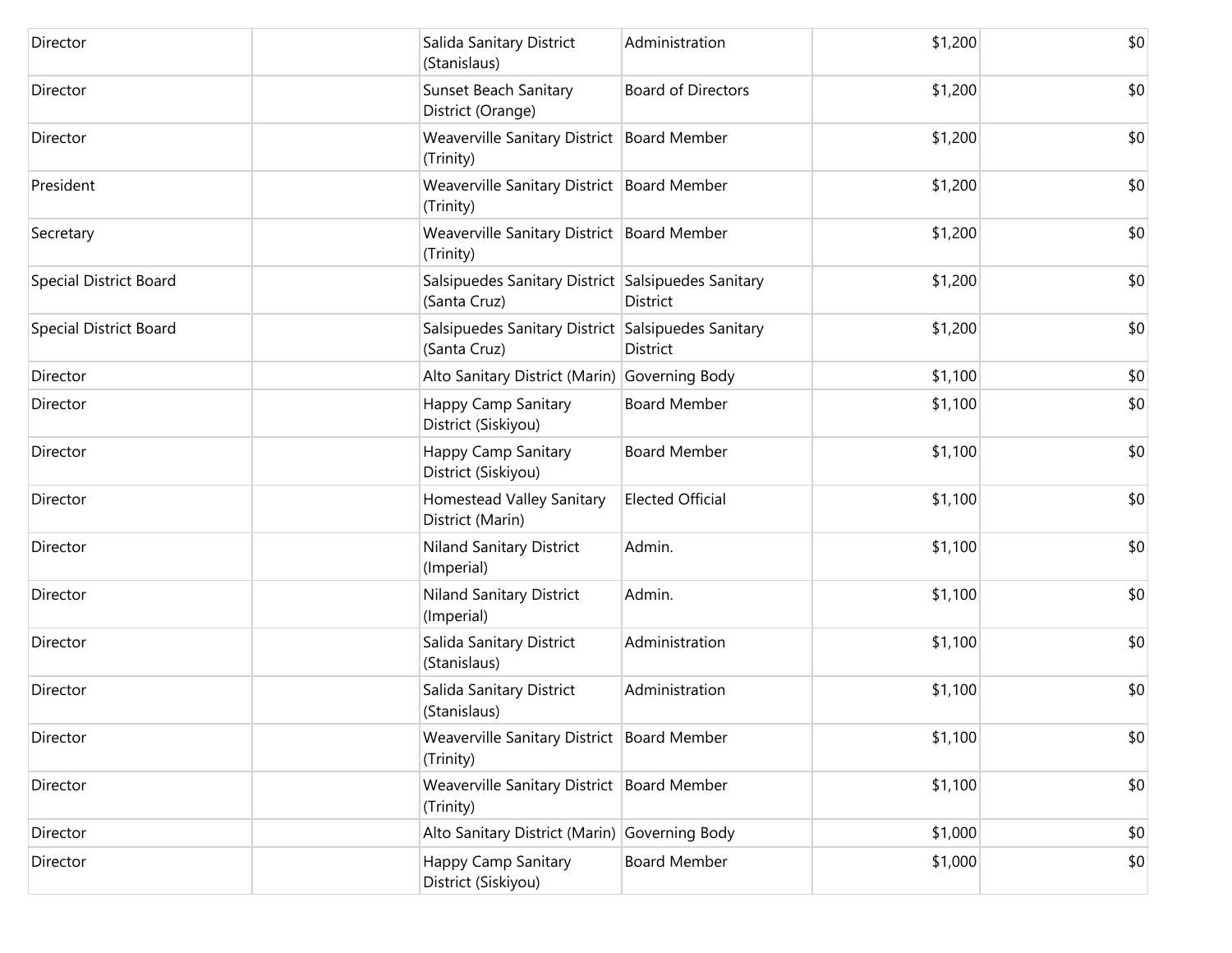| Director                      | Salida Sanitary District<br>(Stanislaus)                           | Administration            | \$1,200 | \$0 |
|-------------------------------|--------------------------------------------------------------------|---------------------------|---------|-----|
| Director                      | Sunset Beach Sanitary<br>District (Orange)                         | <b>Board of Directors</b> | \$1,200 | \$0 |
| Director                      | Weaverville Sanitary District Board Member<br>(Trinity)            |                           | \$1,200 | \$0 |
| President                     | Weaverville Sanitary District Board Member<br>(Trinity)            |                           | \$1,200 | \$0 |
| Secretary                     | Weaverville Sanitary District   Board Member<br>(Trinity)          |                           | \$1,200 | \$0 |
| <b>Special District Board</b> | Salsipuedes Sanitary District Salsipuedes Sanitary<br>(Santa Cruz) | District                  | \$1,200 | \$0 |
| <b>Special District Board</b> | Salsipuedes Sanitary District Salsipuedes Sanitary<br>(Santa Cruz) | <b>District</b>           | \$1,200 | \$0 |
| Director                      | Alto Sanitary District (Marin) Governing Body                      |                           | \$1,100 | \$0 |
| Director                      | Happy Camp Sanitary<br>District (Siskiyou)                         | <b>Board Member</b>       | \$1,100 | \$0 |
| Director                      | Happy Camp Sanitary<br>District (Siskiyou)                         | <b>Board Member</b>       | \$1,100 | \$0 |
| Director                      | Homestead Valley Sanitary<br>District (Marin)                      | <b>Elected Official</b>   | \$1,100 | \$0 |
| Director                      | Niland Sanitary District<br>(Imperial)                             | Admin.                    | \$1,100 | \$0 |
| Director                      | Niland Sanitary District<br>(Imperial)                             | Admin.                    | \$1,100 | \$0 |
| Director                      | Salida Sanitary District<br>(Stanislaus)                           | Administration            | \$1,100 | \$0 |
| Director                      | Salida Sanitary District<br>(Stanislaus)                           | Administration            | \$1,100 | \$0 |
| Director                      | Weaverville Sanitary District Board Member<br>(Trinity)            |                           | \$1,100 | \$0 |
| Director                      | Weaverville Sanitary District Board Member<br>(Trinity)            |                           | \$1,100 | \$0 |
| Director                      | Alto Sanitary District (Marin) Governing Body                      |                           | \$1,000 | \$0 |
| Director                      | Happy Camp Sanitary<br>District (Siskiyou)                         | <b>Board Member</b>       | \$1,000 | \$0 |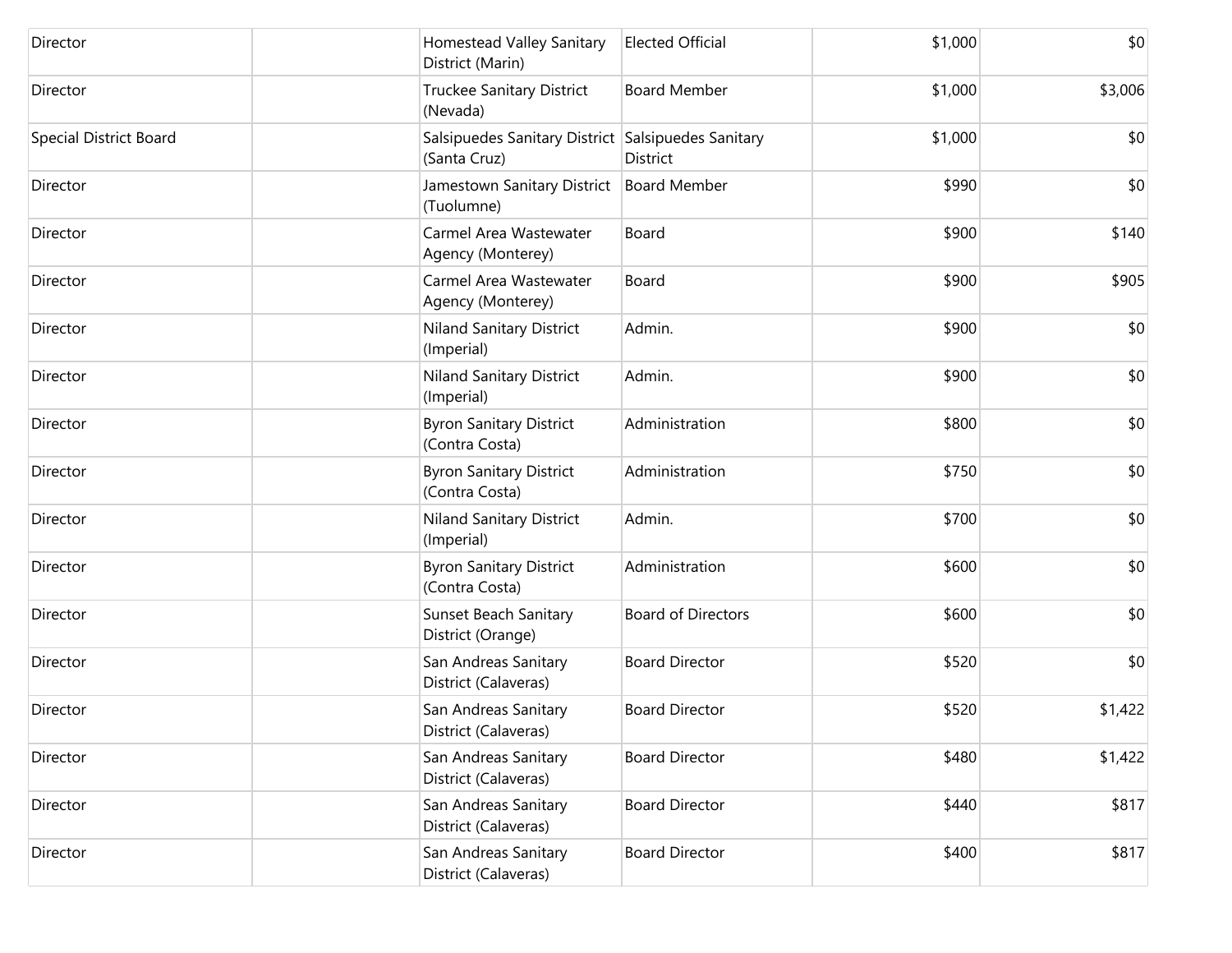| Director                      | Homestead Valley Sanitary<br>District (Marin)                      | <b>Elected Official</b>   | \$1,000 | \$0     |
|-------------------------------|--------------------------------------------------------------------|---------------------------|---------|---------|
| Director                      | Truckee Sanitary District<br>(Nevada)                              | <b>Board Member</b>       | \$1,000 | \$3,006 |
| <b>Special District Board</b> | Salsipuedes Sanitary District Salsipuedes Sanitary<br>(Santa Cruz) | District                  | \$1,000 | \$0     |
| Director                      | Jamestown Sanitary District<br>(Tuolumne)                          | <b>Board Member</b>       | \$990   | \$0     |
| Director                      | Carmel Area Wastewater<br>Agency (Monterey)                        | Board                     | \$900   | \$140   |
| Director                      | Carmel Area Wastewater<br>Agency (Monterey)                        | Board                     | \$900   | \$905   |
| Director                      | Niland Sanitary District<br>(Imperial)                             | Admin.                    | \$900   | \$0     |
| Director                      | Niland Sanitary District<br>(Imperial)                             | Admin.                    | \$900   | \$0     |
| Director                      | <b>Byron Sanitary District</b><br>(Contra Costa)                   | Administration            | \$800   | \$0     |
| Director                      | <b>Byron Sanitary District</b><br>(Contra Costa)                   | Administration            | \$750   | \$0     |
| Director                      | Niland Sanitary District<br>(Imperial)                             | Admin.                    | \$700   | \$0     |
| Director                      | <b>Byron Sanitary District</b><br>(Contra Costa)                   | Administration            | \$600   | \$0     |
| Director                      | <b>Sunset Beach Sanitary</b><br>District (Orange)                  | <b>Board of Directors</b> | \$600   | \$0     |
| Director                      | San Andreas Sanitary<br>District (Calaveras)                       | <b>Board Director</b>     | \$520   | \$0     |
| Director                      | San Andreas Sanitary<br>District (Calaveras)                       | <b>Board Director</b>     | \$520   | \$1,422 |
| Director                      | San Andreas Sanitary<br>District (Calaveras)                       | <b>Board Director</b>     | \$480   | \$1,422 |
| Director                      | San Andreas Sanitary<br>District (Calaveras)                       | <b>Board Director</b>     | \$440   | \$817   |
| Director                      | San Andreas Sanitary<br>District (Calaveras)                       | <b>Board Director</b>     | \$400   | \$817   |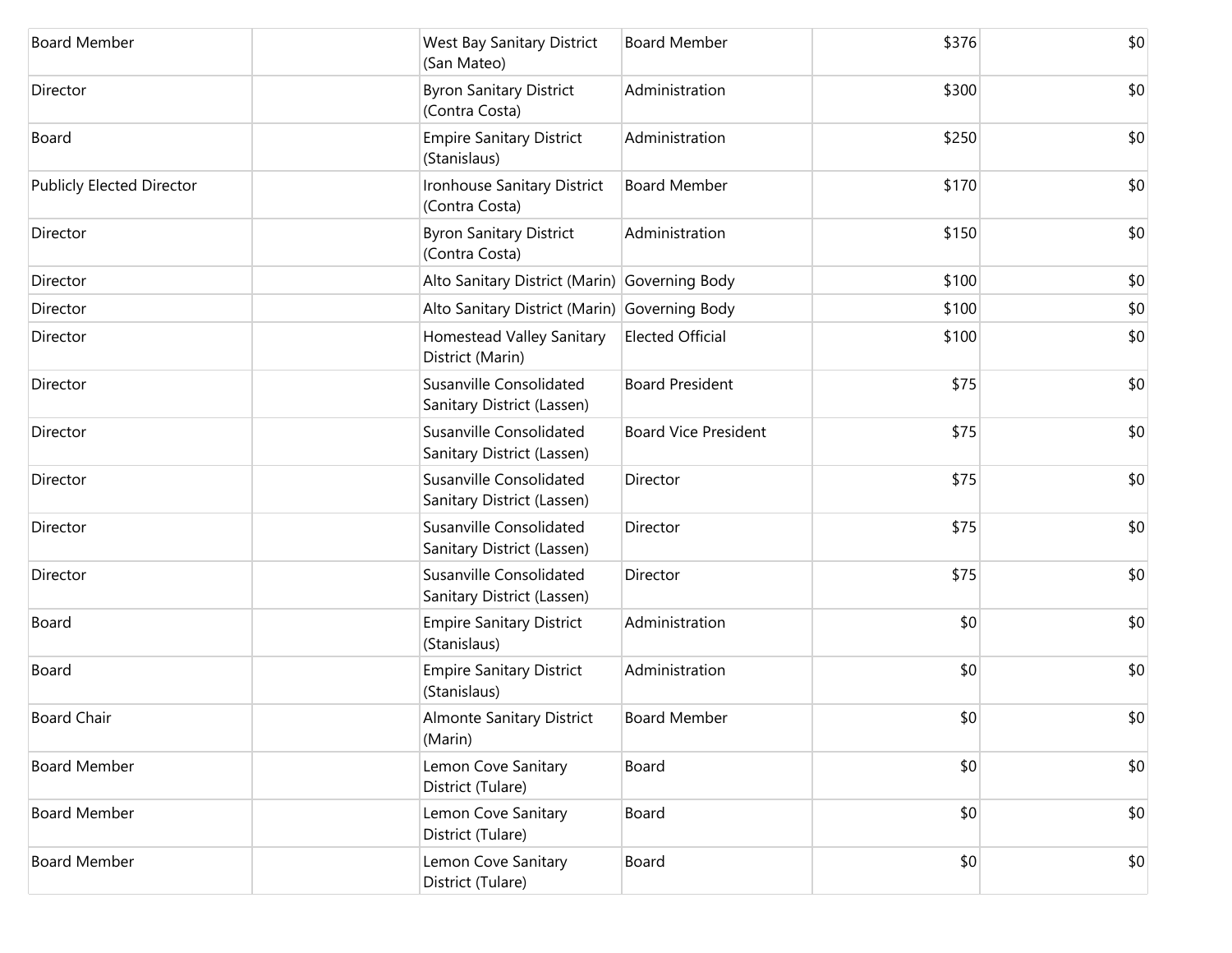| <b>Board Member</b>              | <b>West Bay Sanitary District</b><br>(San Mateo)      | <b>Board Member</b>         | \$376 | \$0 |
|----------------------------------|-------------------------------------------------------|-----------------------------|-------|-----|
| Director                         | <b>Byron Sanitary District</b><br>(Contra Costa)      | Administration              | \$300 | \$0 |
| Board                            | <b>Empire Sanitary District</b><br>(Stanislaus)       | Administration              | \$250 | \$0 |
| <b>Publicly Elected Director</b> | Ironhouse Sanitary District<br>(Contra Costa)         | <b>Board Member</b>         | \$170 | \$0 |
| Director                         | <b>Byron Sanitary District</b><br>(Contra Costa)      | Administration              | \$150 | \$0 |
| Director                         | Alto Sanitary District (Marin) Governing Body         |                             | \$100 | \$0 |
| Director                         | Alto Sanitary District (Marin) Governing Body         |                             | \$100 | \$0 |
| Director                         | Homestead Valley Sanitary<br>District (Marin)         | <b>Elected Official</b>     | \$100 | \$0 |
| Director                         | Susanville Consolidated<br>Sanitary District (Lassen) | <b>Board President</b>      | \$75  | \$0 |
| Director                         | Susanville Consolidated<br>Sanitary District (Lassen) | <b>Board Vice President</b> | \$75  | \$0 |
| Director                         | Susanville Consolidated<br>Sanitary District (Lassen) | Director                    | \$75  | \$0 |
| Director                         | Susanville Consolidated<br>Sanitary District (Lassen) | Director                    | \$75  | \$0 |
| Director                         | Susanville Consolidated<br>Sanitary District (Lassen) | Director                    | \$75  | \$0 |
| Board                            | <b>Empire Sanitary District</b><br>(Stanislaus)       | Administration              | \$0   | \$0 |
| Board                            | <b>Empire Sanitary District</b><br>(Stanislaus)       | Administration              | \$0   | \$0 |
| <b>Board Chair</b>               | <b>Almonte Sanitary District</b><br>(Marin)           | <b>Board Member</b>         | \$0   | \$0 |
| <b>Board Member</b>              | Lemon Cove Sanitary<br>District (Tulare)              | Board                       | \$0   | \$0 |
| <b>Board Member</b>              | Lemon Cove Sanitary<br>District (Tulare)              | Board                       | \$0   | \$0 |
| <b>Board Member</b>              | Lemon Cove Sanitary<br>District (Tulare)              | Board                       | \$0   | \$0 |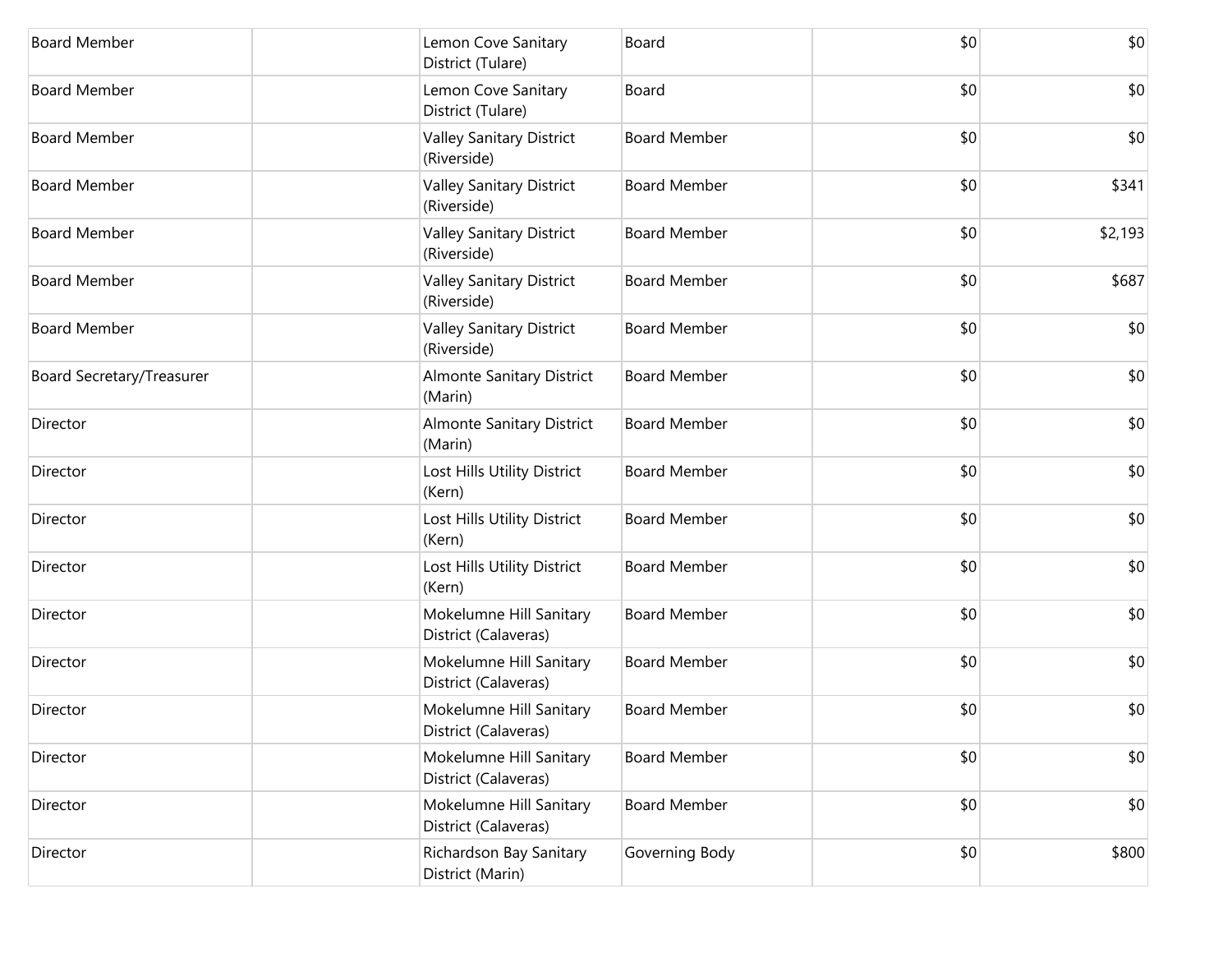| <b>Board Member</b>       | Lemon Cove Sanitary<br>District (Tulare)        | Board               | \$0 | \$0     |
|---------------------------|-------------------------------------------------|---------------------|-----|---------|
| <b>Board Member</b>       | Lemon Cove Sanitary<br>District (Tulare)        | Board               | \$0 | \$0     |
| <b>Board Member</b>       | <b>Valley Sanitary District</b><br>(Riverside)  | <b>Board Member</b> | \$0 | \$0     |
| <b>Board Member</b>       | <b>Valley Sanitary District</b><br>(Riverside)  | <b>Board Member</b> | \$0 | \$341   |
| <b>Board Member</b>       | <b>Valley Sanitary District</b><br>(Riverside)  | <b>Board Member</b> | \$0 | \$2,193 |
| <b>Board Member</b>       | <b>Valley Sanitary District</b><br>(Riverside)  | <b>Board Member</b> | \$0 | \$687   |
| <b>Board Member</b>       | <b>Valley Sanitary District</b><br>(Riverside)  | <b>Board Member</b> | \$0 | \$0     |
| Board Secretary/Treasurer | <b>Almonte Sanitary District</b><br>(Marin)     | <b>Board Member</b> | \$0 | \$0     |
| Director                  | Almonte Sanitary District<br>(Marin)            | <b>Board Member</b> | \$0 | \$0     |
| Director                  | Lost Hills Utility District<br>(Kern)           | <b>Board Member</b> | \$0 | \$0     |
| Director                  | Lost Hills Utility District<br>(Kern)           | <b>Board Member</b> | \$0 | \$0     |
| Director                  | Lost Hills Utility District<br>(Kern)           | <b>Board Member</b> | \$0 | \$0     |
| Director                  | Mokelumne Hill Sanitary<br>District (Calaveras) | <b>Board Member</b> | \$0 | \$0     |
| Director                  | Mokelumne Hill Sanitary<br>District (Calaveras) | <b>Board Member</b> | \$0 | \$0     |
| Director                  | Mokelumne Hill Sanitary<br>District (Calaveras) | <b>Board Member</b> | \$0 | \$0     |
| Director                  | Mokelumne Hill Sanitary<br>District (Calaveras) | <b>Board Member</b> | \$0 | \$0     |
| Director                  | Mokelumne Hill Sanitary<br>District (Calaveras) | <b>Board Member</b> | \$0 | \$0     |
| Director                  | Richardson Bay Sanitary<br>District (Marin)     | Governing Body      | \$0 | \$800   |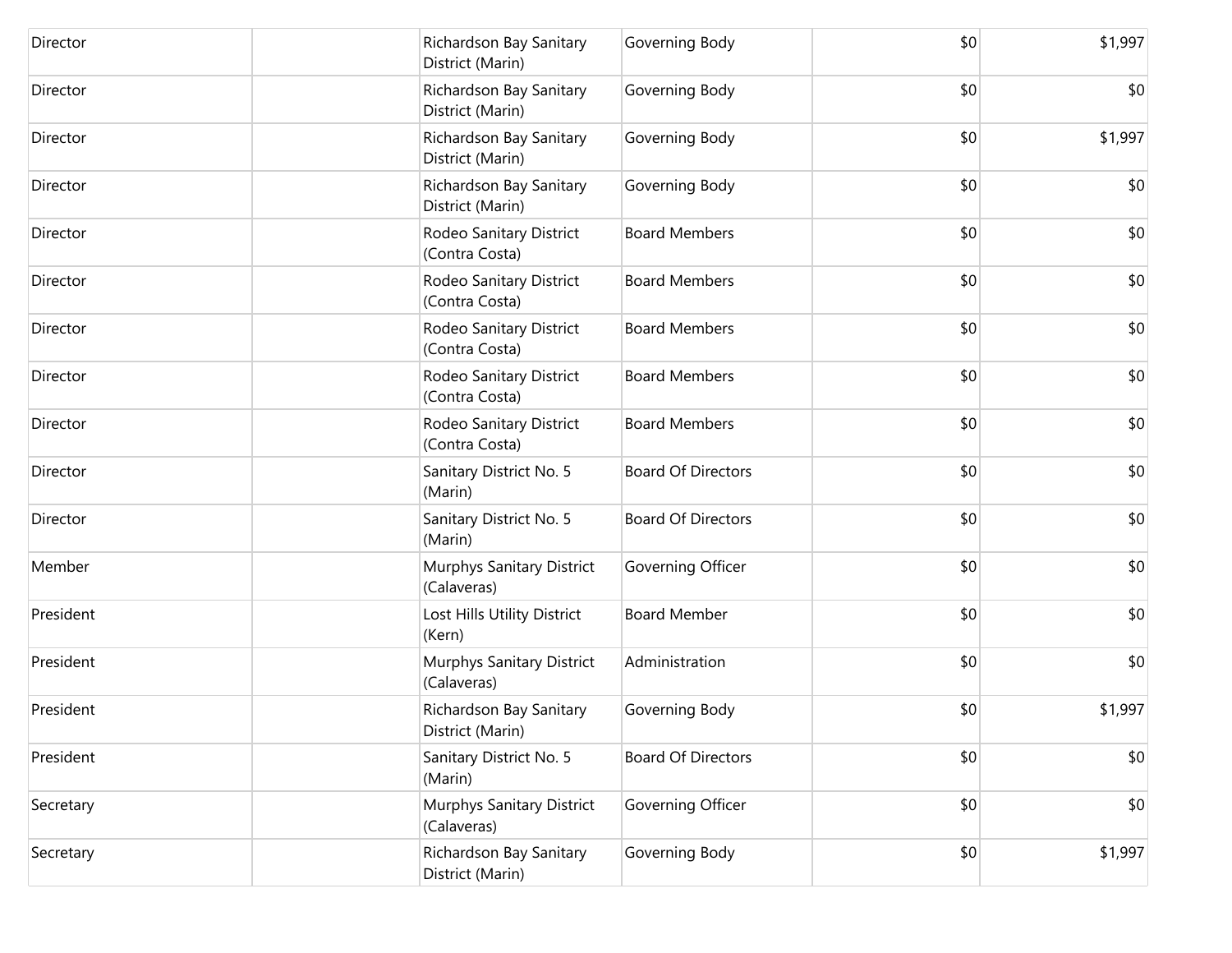| Director  | Richardson Bay Sanitary<br>District (Marin) | Governing Body            | \$0 | \$1,997 |
|-----------|---------------------------------------------|---------------------------|-----|---------|
| Director  | Richardson Bay Sanitary<br>District (Marin) | Governing Body            | \$0 | \$0     |
| Director  | Richardson Bay Sanitary<br>District (Marin) | Governing Body            | \$0 | \$1,997 |
| Director  | Richardson Bay Sanitary<br>District (Marin) | Governing Body            | \$0 | \$0     |
| Director  | Rodeo Sanitary District<br>(Contra Costa)   | <b>Board Members</b>      | \$0 | \$0     |
| Director  | Rodeo Sanitary District<br>(Contra Costa)   | <b>Board Members</b>      | \$0 | \$0     |
| Director  | Rodeo Sanitary District<br>(Contra Costa)   | <b>Board Members</b>      | \$0 | \$0     |
| Director  | Rodeo Sanitary District<br>(Contra Costa)   | <b>Board Members</b>      | \$0 | \$0     |
| Director  | Rodeo Sanitary District<br>(Contra Costa)   | <b>Board Members</b>      | \$0 | \$0     |
| Director  | Sanitary District No. 5<br>(Marin)          | <b>Board Of Directors</b> | \$0 | \$0     |
| Director  | Sanitary District No. 5<br>(Marin)          | <b>Board Of Directors</b> | \$0 | \$0     |
| Member    | Murphys Sanitary District<br>(Calaveras)    | Governing Officer         | \$0 | \$0     |
| President | Lost Hills Utility District<br>(Kern)       | <b>Board Member</b>       | \$0 | \$0     |
| President | Murphys Sanitary District<br>(Calaveras)    | Administration            | \$0 | \$0     |
| President | Richardson Bay Sanitary<br>District (Marin) | Governing Body            | \$0 | \$1,997 |
| President | Sanitary District No. 5<br>(Marin)          | <b>Board Of Directors</b> | \$0 | \$0     |
| Secretary | Murphys Sanitary District<br>(Calaveras)    | Governing Officer         | \$0 | \$0     |
| Secretary | Richardson Bay Sanitary<br>District (Marin) | Governing Body            | \$0 | \$1,997 |